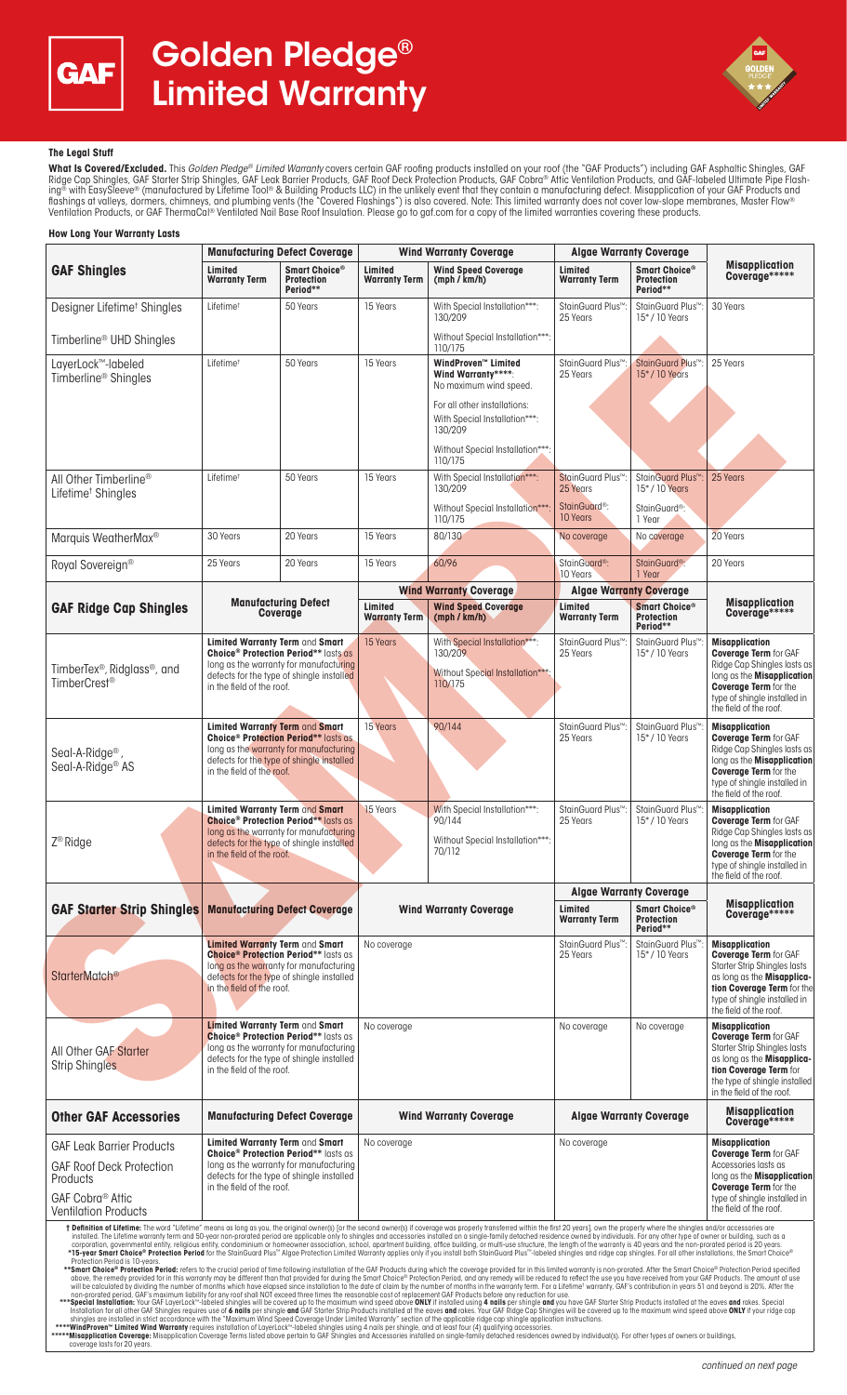



# **The Legal Stuff**

**What Is Covered/Excluded.** This *Golden Pledge® Limited Warranty* covers certain GAF roofing products installed on your roof (the "GAF Products") including GAF Asphaltic Shingles, GAF<br>Ridge Cap Shingles, GAF Starter Strip ing® with EasySleeve® (manufactured by Lifetime Tool® & Building Products LLC) in the unlikely event that they contain a manufacturing defect. Misapplication of your GAF Products and flashings at valleys, dormers, chimneys, and plumbing vents (the "Covered Flashings") is also covered. Note: This limited warranty does not cover low-slope membranes, Master Flow® Ventilation Products, or GAF ThermaCal® Ventilated Nail Base Roof Insulation. Please go to gaf.com for a copy of the limited warranties covering these products.

| <b>GAF Shingles</b>                                                                                                                                                                                                                                                                                                                                                                                                                                                                                                                                                                                                                                                                                                                                                                                                                                                                                                                                                                                                                                                                                                                                                                                                                                                                                                                                                                                                                                                                                                                                                                                                                                                                                                                                                                                                                                                                                                                                                                                                                                                                                                                                                                                                                                                                                                                                                                                                                                                                                                                                                                                                                                                                                                                                                                                                                                                                                                                                   | <b>Manufacturing Defect Coverage</b>                                                                                                                                                                                 |                                                        | <b>Wind Warranty Coverage</b>   |                                                                                       | <b>Algae Warranty Coverage</b>             |                                                                                                       |                                                                                                                                                                                                                     |
|-------------------------------------------------------------------------------------------------------------------------------------------------------------------------------------------------------------------------------------------------------------------------------------------------------------------------------------------------------------------------------------------------------------------------------------------------------------------------------------------------------------------------------------------------------------------------------------------------------------------------------------------------------------------------------------------------------------------------------------------------------------------------------------------------------------------------------------------------------------------------------------------------------------------------------------------------------------------------------------------------------------------------------------------------------------------------------------------------------------------------------------------------------------------------------------------------------------------------------------------------------------------------------------------------------------------------------------------------------------------------------------------------------------------------------------------------------------------------------------------------------------------------------------------------------------------------------------------------------------------------------------------------------------------------------------------------------------------------------------------------------------------------------------------------------------------------------------------------------------------------------------------------------------------------------------------------------------------------------------------------------------------------------------------------------------------------------------------------------------------------------------------------------------------------------------------------------------------------------------------------------------------------------------------------------------------------------------------------------------------------------------------------------------------------------------------------------------------------------------------------------------------------------------------------------------------------------------------------------------------------------------------------------------------------------------------------------------------------------------------------------------------------------------------------------------------------------------------------------------------------------------------------------------------------------------------------------|----------------------------------------------------------------------------------------------------------------------------------------------------------------------------------------------------------------------|--------------------------------------------------------|---------------------------------|---------------------------------------------------------------------------------------|--------------------------------------------|-------------------------------------------------------------------------------------------------------|---------------------------------------------------------------------------------------------------------------------------------------------------------------------------------------------------------------------|
|                                                                                                                                                                                                                                                                                                                                                                                                                                                                                                                                                                                                                                                                                                                                                                                                                                                                                                                                                                                                                                                                                                                                                                                                                                                                                                                                                                                                                                                                                                                                                                                                                                                                                                                                                                                                                                                                                                                                                                                                                                                                                                                                                                                                                                                                                                                                                                                                                                                                                                                                                                                                                                                                                                                                                                                                                                                                                                                                                       | Limited<br><b>Warranty Term</b>                                                                                                                                                                                      | Smart Choice®<br><b>Protection</b><br>Period**         | Limited<br><b>Warranty Term</b> | <b>Wind Speed Coverage</b><br>(mph / km/h)                                            | Limited<br><b>Warranty Term</b>            | Smart Choice®<br><b>Protection</b><br>Period**                                                        | <b>Misapplication</b><br>Coverage*****                                                                                                                                                                              |
| Designer Lifetime <sup>†</sup> Shingles                                                                                                                                                                                                                                                                                                                                                                                                                                                                                                                                                                                                                                                                                                                                                                                                                                                                                                                                                                                                                                                                                                                                                                                                                                                                                                                                                                                                                                                                                                                                                                                                                                                                                                                                                                                                                                                                                                                                                                                                                                                                                                                                                                                                                                                                                                                                                                                                                                                                                                                                                                                                                                                                                                                                                                                                                                                                                                               | Lifetime <sup>+</sup>                                                                                                                                                                                                | 50 Years                                               | 15 Years                        | With Special Installation***:<br>130/209                                              | StainGuard Plus™<br>25 Years               | StainGuard Plus <sup>™</sup><br>15*/10 Years                                                          | 30 Years                                                                                                                                                                                                            |
| Timberline <sup>®</sup> UHD Shingles                                                                                                                                                                                                                                                                                                                                                                                                                                                                                                                                                                                                                                                                                                                                                                                                                                                                                                                                                                                                                                                                                                                                                                                                                                                                                                                                                                                                                                                                                                                                                                                                                                                                                                                                                                                                                                                                                                                                                                                                                                                                                                                                                                                                                                                                                                                                                                                                                                                                                                                                                                                                                                                                                                                                                                                                                                                                                                                  |                                                                                                                                                                                                                      |                                                        |                                 | Without Special Installation***:<br>110/175                                           |                                            |                                                                                                       |                                                                                                                                                                                                                     |
| LayerLock™-labeled<br>Timberline <sup>®</sup> Shingles                                                                                                                                                                                                                                                                                                                                                                                                                                                                                                                                                                                                                                                                                                                                                                                                                                                                                                                                                                                                                                                                                                                                                                                                                                                                                                                                                                                                                                                                                                                                                                                                                                                                                                                                                                                                                                                                                                                                                                                                                                                                                                                                                                                                                                                                                                                                                                                                                                                                                                                                                                                                                                                                                                                                                                                                                                                                                                | Lifetime <sup>t</sup>                                                                                                                                                                                                | 50 Years                                               | 15 Years                        | WindProven™ Limited<br>Wind Warranty****:<br>No maximum wind speed.                   | StainGuard Plus <sup>™</sup><br>25 Years   | StainGuard Plus <sup>™</sup><br>15*/10 Years                                                          | 25 Years                                                                                                                                                                                                            |
|                                                                                                                                                                                                                                                                                                                                                                                                                                                                                                                                                                                                                                                                                                                                                                                                                                                                                                                                                                                                                                                                                                                                                                                                                                                                                                                                                                                                                                                                                                                                                                                                                                                                                                                                                                                                                                                                                                                                                                                                                                                                                                                                                                                                                                                                                                                                                                                                                                                                                                                                                                                                                                                                                                                                                                                                                                                                                                                                                       |                                                                                                                                                                                                                      |                                                        |                                 | For all other installations:<br>With Special Installation***:<br>130/209              |                                            |                                                                                                       |                                                                                                                                                                                                                     |
|                                                                                                                                                                                                                                                                                                                                                                                                                                                                                                                                                                                                                                                                                                                                                                                                                                                                                                                                                                                                                                                                                                                                                                                                                                                                                                                                                                                                                                                                                                                                                                                                                                                                                                                                                                                                                                                                                                                                                                                                                                                                                                                                                                                                                                                                                                                                                                                                                                                                                                                                                                                                                                                                                                                                                                                                                                                                                                                                                       |                                                                                                                                                                                                                      |                                                        |                                 | Without Special Installation***:<br>110/175                                           |                                            |                                                                                                       |                                                                                                                                                                                                                     |
| All Other Timberline®<br>Lifetime <sup>†</sup> Shingles                                                                                                                                                                                                                                                                                                                                                                                                                                                                                                                                                                                                                                                                                                                                                                                                                                                                                                                                                                                                                                                                                                                                                                                                                                                                                                                                                                                                                                                                                                                                                                                                                                                                                                                                                                                                                                                                                                                                                                                                                                                                                                                                                                                                                                                                                                                                                                                                                                                                                                                                                                                                                                                                                                                                                                                                                                                                                               | Lifetime <sup>+</sup>                                                                                                                                                                                                | 50 Years                                               | 15 Years                        | With Special Installation***:<br>130/209                                              | StainGuard Plus <sup>™</sup> :<br>25 Years | StainGuard Plus <sup>™</sup><br>15*/10 Years                                                          | 25 Years                                                                                                                                                                                                            |
|                                                                                                                                                                                                                                                                                                                                                                                                                                                                                                                                                                                                                                                                                                                                                                                                                                                                                                                                                                                                                                                                                                                                                                                                                                                                                                                                                                                                                                                                                                                                                                                                                                                                                                                                                                                                                                                                                                                                                                                                                                                                                                                                                                                                                                                                                                                                                                                                                                                                                                                                                                                                                                                                                                                                                                                                                                                                                                                                                       |                                                                                                                                                                                                                      |                                                        |                                 | Without Special Installation***:<br>110/175                                           | StainGuard <sup>®</sup> :<br>10 Years      | StainGuard <sup>®</sup> :<br>1 Year                                                                   |                                                                                                                                                                                                                     |
| Marquis WeatherMax <sup>®</sup>                                                                                                                                                                                                                                                                                                                                                                                                                                                                                                                                                                                                                                                                                                                                                                                                                                                                                                                                                                                                                                                                                                                                                                                                                                                                                                                                                                                                                                                                                                                                                                                                                                                                                                                                                                                                                                                                                                                                                                                                                                                                                                                                                                                                                                                                                                                                                                                                                                                                                                                                                                                                                                                                                                                                                                                                                                                                                                                       | 30 Years                                                                                                                                                                                                             | 20 Years                                               | 15 Years                        | 80/130                                                                                | No coverage                                | No coverage                                                                                           | 20 Years                                                                                                                                                                                                            |
| Royal Sovereign®                                                                                                                                                                                                                                                                                                                                                                                                                                                                                                                                                                                                                                                                                                                                                                                                                                                                                                                                                                                                                                                                                                                                                                                                                                                                                                                                                                                                                                                                                                                                                                                                                                                                                                                                                                                                                                                                                                                                                                                                                                                                                                                                                                                                                                                                                                                                                                                                                                                                                                                                                                                                                                                                                                                                                                                                                                                                                                                                      | 25 Years                                                                                                                                                                                                             | 20 Years                                               | 15 Years                        | 60/96                                                                                 | StainGuard <sup>®</sup> :<br>10 Years      | StainGuard <sup>®</sup> :<br>1 Year                                                                   | 20 Years                                                                                                                                                                                                            |
|                                                                                                                                                                                                                                                                                                                                                                                                                                                                                                                                                                                                                                                                                                                                                                                                                                                                                                                                                                                                                                                                                                                                                                                                                                                                                                                                                                                                                                                                                                                                                                                                                                                                                                                                                                                                                                                                                                                                                                                                                                                                                                                                                                                                                                                                                                                                                                                                                                                                                                                                                                                                                                                                                                                                                                                                                                                                                                                                                       | <b>Manufacturing Defect</b><br>Coverage                                                                                                                                                                              |                                                        | <b>Wind Warranty Coverage</b>   |                                                                                       | <b>Algae Warranty Coverage</b>             |                                                                                                       |                                                                                                                                                                                                                     |
| <b>GAF Ridge Cap Shingles</b>                                                                                                                                                                                                                                                                                                                                                                                                                                                                                                                                                                                                                                                                                                                                                                                                                                                                                                                                                                                                                                                                                                                                                                                                                                                                                                                                                                                                                                                                                                                                                                                                                                                                                                                                                                                                                                                                                                                                                                                                                                                                                                                                                                                                                                                                                                                                                                                                                                                                                                                                                                                                                                                                                                                                                                                                                                                                                                                         |                                                                                                                                                                                                                      |                                                        | Limited<br><b>Warranty Term</b> | <b>Wind Speed Coverage</b><br>(mph / km/h)                                            | Limited<br><b>Warranty Term</b>            | Smart Choice®<br><b>Protection</b><br>Period**                                                        | <b>Misapplication</b><br>Coverage*****                                                                                                                                                                              |
|                                                                                                                                                                                                                                                                                                                                                                                                                                                                                                                                                                                                                                                                                                                                                                                                                                                                                                                                                                                                                                                                                                                                                                                                                                                                                                                                                                                                                                                                                                                                                                                                                                                                                                                                                                                                                                                                                                                                                                                                                                                                                                                                                                                                                                                                                                                                                                                                                                                                                                                                                                                                                                                                                                                                                                                                                                                                                                                                                       | Limited Warranty Term and Smart                                                                                                                                                                                      | <b>Choice<sup>®</sup> Protection Period**</b> lasts as | 15 Years                        | With Special Installation***:<br>130/209                                              | StainGuard Plus <sup>™</sup><br>25 Years   | StainGuard Plus <sup>™</sup><br><b>Misapplication</b><br>15*/10 Years<br><b>Coverage Term</b> for GAF |                                                                                                                                                                                                                     |
| TimberTex <sup>®</sup> , Ridglass <sup>®</sup> , and<br>TimberCrest <sup>®</sup>                                                                                                                                                                                                                                                                                                                                                                                                                                                                                                                                                                                                                                                                                                                                                                                                                                                                                                                                                                                                                                                                                                                                                                                                                                                                                                                                                                                                                                                                                                                                                                                                                                                                                                                                                                                                                                                                                                                                                                                                                                                                                                                                                                                                                                                                                                                                                                                                                                                                                                                                                                                                                                                                                                                                                                                                                                                                      | long as the warranty for manufacturing<br>defects for the type of shingle installed<br>in the field of the roof.                                                                                                     |                                                        |                                 | Without Special Installation***<br>110/175                                            |                                            |                                                                                                       | Ridge Cap Shingles lasts as<br>long as the <b>Misapplication</b><br><b>Coverage Term</b> for the<br>type of shingle installed in<br>the field of the roof.                                                          |
| Seal-A-Ridge <sup>®</sup><br>Seal-A-Ridge <sup>®</sup> AS                                                                                                                                                                                                                                                                                                                                                                                                                                                                                                                                                                                                                                                                                                                                                                                                                                                                                                                                                                                                                                                                                                                                                                                                                                                                                                                                                                                                                                                                                                                                                                                                                                                                                                                                                                                                                                                                                                                                                                                                                                                                                                                                                                                                                                                                                                                                                                                                                                                                                                                                                                                                                                                                                                                                                                                                                                                                                             | Limited Warranty Term and Smart<br><b>Choice<sup>®</sup> Protection Period**</b> lasts as<br>long as the warranty for manufacturing<br>defects for the type of shingle installed<br>in the field of the roof.        |                                                        | 15 Years                        | 90/144                                                                                | StainGuard Plus <sup>™</sup> :<br>25 Years | StainGuard Plus <sup>™</sup><br>$15^*$ / 10 Years                                                     | <b>Misapplication</b><br><b>Coverage Term for GAF</b><br>Ridge Cap Shingles lasts as<br>long as the <b>Misapplication</b><br><b>Coverage Term</b> for the<br>type of shingle installed in<br>the field of the roof. |
| Z <sup>®</sup> Ridge                                                                                                                                                                                                                                                                                                                                                                                                                                                                                                                                                                                                                                                                                                                                                                                                                                                                                                                                                                                                                                                                                                                                                                                                                                                                                                                                                                                                                                                                                                                                                                                                                                                                                                                                                                                                                                                                                                                                                                                                                                                                                                                                                                                                                                                                                                                                                                                                                                                                                                                                                                                                                                                                                                                                                                                                                                                                                                                                  | <b>Limited Warranty Term and Smart</b><br><b>Choice<sup>®</sup> Protection Period** lasts as</b><br>long as the warranty for manufacturing<br>defects for the type of shingle installed<br>in the field of the roof. |                                                        | 15 Years                        | With Special Installation***:<br>90/144<br>Without Special Installation***:<br>70/112 | StainGuard Plus <sup>™</sup> :<br>25 Years | StainGuard Plus <sup>™</sup><br>$15^*$ / 10 Years                                                     | <b>Misapplication</b><br><b>Coverage Term for GAF</b><br>Ridge Cap Shingles lasts as<br>long as the <b>Misapplication</b><br><b>Coverage Term</b> for the<br>type of shingle installed in<br>the field of the roof. |
|                                                                                                                                                                                                                                                                                                                                                                                                                                                                                                                                                                                                                                                                                                                                                                                                                                                                                                                                                                                                                                                                                                                                                                                                                                                                                                                                                                                                                                                                                                                                                                                                                                                                                                                                                                                                                                                                                                                                                                                                                                                                                                                                                                                                                                                                                                                                                                                                                                                                                                                                                                                                                                                                                                                                                                                                                                                                                                                                                       | <b>GAF Starter Strip Shingles Manufacturing Defect Coverage</b>                                                                                                                                                      |                                                        | <b>Wind Warranty Coverage</b>   |                                                                                       | <b>Algae Warranty Coverage</b>             |                                                                                                       |                                                                                                                                                                                                                     |
|                                                                                                                                                                                                                                                                                                                                                                                                                                                                                                                                                                                                                                                                                                                                                                                                                                                                                                                                                                                                                                                                                                                                                                                                                                                                                                                                                                                                                                                                                                                                                                                                                                                                                                                                                                                                                                                                                                                                                                                                                                                                                                                                                                                                                                                                                                                                                                                                                                                                                                                                                                                                                                                                                                                                                                                                                                                                                                                                                       |                                                                                                                                                                                                                      |                                                        |                                 |                                                                                       | Limited<br><b>Warranty Term</b>            | Smart Choice®<br>Protection<br>Period**                                                               | <b>Misapplication</b><br>Coverage*****                                                                                                                                                                              |
| StarterMatch <sup>®</sup>                                                                                                                                                                                                                                                                                                                                                                                                                                                                                                                                                                                                                                                                                                                                                                                                                                                                                                                                                                                                                                                                                                                                                                                                                                                                                                                                                                                                                                                                                                                                                                                                                                                                                                                                                                                                                                                                                                                                                                                                                                                                                                                                                                                                                                                                                                                                                                                                                                                                                                                                                                                                                                                                                                                                                                                                                                                                                                                             | <b>Limited Warranty Term and Smart</b><br><b>Choice<sup>®</sup> Protection Period**</b> lasts as<br>long as the warranty for manufacturing<br>defects for the type of shingle installed<br>in the field of the roof. |                                                        | No coverage                     |                                                                                       | StainGuard Plus <sup>™</sup> :<br>25 Years | StainGuard Plus <sup>™</sup><br>15*/10 Years                                                          | <b>Misapplication</b><br><b>Coverage Term for GAF</b><br><b>Starter Strip Shingles lasts</b><br>as long as the Misapplica-<br>tion Coverage Term for the<br>type of shingle installed in<br>the field of the roof.  |
| All Other GAF Starter<br><b>Strip Shingles</b>                                                                                                                                                                                                                                                                                                                                                                                                                                                                                                                                                                                                                                                                                                                                                                                                                                                                                                                                                                                                                                                                                                                                                                                                                                                                                                                                                                                                                                                                                                                                                                                                                                                                                                                                                                                                                                                                                                                                                                                                                                                                                                                                                                                                                                                                                                                                                                                                                                                                                                                                                                                                                                                                                                                                                                                                                                                                                                        | <b>Limited Warranty Term and Smart</b><br><b>Choice<sup>®</sup> Protection Period**</b> lasts as<br>long as the warranty for manufacturing<br>defects for the type of shingle installed<br>in the field of the roof. |                                                        | No coverage                     |                                                                                       | No coverage                                | No coverage                                                                                           | <b>Misapplication</b><br><b>Coverage Term for GAF</b><br><b>Starter Strip Shingles lasts</b><br>as long as the Misapplica-<br>tion Coverage Term for<br>the type of shingle installed<br>in the field of the roof.  |
| <b>Other GAF Accessories</b>                                                                                                                                                                                                                                                                                                                                                                                                                                                                                                                                                                                                                                                                                                                                                                                                                                                                                                                                                                                                                                                                                                                                                                                                                                                                                                                                                                                                                                                                                                                                                                                                                                                                                                                                                                                                                                                                                                                                                                                                                                                                                                                                                                                                                                                                                                                                                                                                                                                                                                                                                                                                                                                                                                                                                                                                                                                                                                                          | <b>Manufacturing Defect Coverage</b>                                                                                                                                                                                 |                                                        | <b>Wind Warranty Coverage</b>   |                                                                                       | <b>Algae Warranty Coverage</b>             |                                                                                                       | <b>Misapplication</b><br>Coverage*****                                                                                                                                                                              |
| <b>GAF Leak Barrier Products</b><br><b>GAF Roof Deck Protection</b><br>Products<br>GAF Cobra <sup>®</sup> Attic<br><b>Ventilation Products</b>                                                                                                                                                                                                                                                                                                                                                                                                                                                                                                                                                                                                                                                                                                                                                                                                                                                                                                                                                                                                                                                                                                                                                                                                                                                                                                                                                                                                                                                                                                                                                                                                                                                                                                                                                                                                                                                                                                                                                                                                                                                                                                                                                                                                                                                                                                                                                                                                                                                                                                                                                                                                                                                                                                                                                                                                        | Limited Warranty Term and Smart<br><b>Choice<sup>®</sup> Protection Period**</b> lasts as<br>long as the warranty for manufacturing<br>defects for the type of shingle installed<br>in the field of the roof.        |                                                        | No coverage                     |                                                                                       | No coverage                                |                                                                                                       | <b>Misapplication</b><br><b>Coverage Term for GAF</b><br>Accessories lasts as<br>long as the <b>Misapplication</b><br><b>Coverage Term</b> for the<br>type of shingle installed in<br>the field of the roof.        |
| † Definition of Lifetime: The word "Lifetime" means as long as you, the original owner(s) [or the second owner(s) if coverage was properly transferred within the first 20 years], own the property where the shingles and/or<br>installed. The Lifetime warranty term and 50-year non-prorated period are applicable only to shingles and accessories installed on a single-family detached residence owned by individuals. For any other type of owner or bui<br>corporation, governmental entity, religious entity, condominium or homeowner association, school, apartment building, office building, or multi-use structure, the length of the warranty is 40 years and the non-prorated per<br>*15-year Smart Choice® Protection Period for the StainGuard Plus™ Algae Protection Limited Warranty applies only if you install both StainGuard Plus™-labeled shingles and ridge cap shingles. For all other installations, th<br>Protection Period is 10-years.<br>**Smart Choice® Protection Period: refers to the crucial period of time following installation of the GAF Products during which the coverage provided for in this limited warranty is non-prorated. After the Smart Choice® Pr<br>above, the remedy provided for in this warranty may be different than that provided for during the Smart Choice® Protection Period, and any remedy will be reduced to reflect the use you have received from your GAF Products<br>will be calculated by dividing the number of months which have elapsed since installation to the date of claim by the number of months in the warranty term. For a Lifetime <sup>+</sup> warranty, GAF's contribution in years 51 and be<br>non-prorated period, GAF's maximum liability for any roof shall NOT exceed three times the reasonable cost of replacement GAF Products before any reduction for use.<br>***Special Installation: Your GAF LayerLock <sup>w</sup> -labeled shingles will be covered up to the maximum wind speed above ONLY if installed using 4 nails per shingle and you have GAF Starter Strip Products installed at the eaves<br>Installation for all other GAF Shingles requires use of 6 nails per shingle and GAF Starter Strip Products installed at the eaves and rakes. Your GAF Ridge Cap Shingles will be covered up to the maximum wind speed above ON<br>shingles are installed in strict accordance with the "Maximum Wind Speed Coverage Under Limited Warranty" section of the applicable ridge cap shingle application instructions.<br>**** WindProven" Limited Wind Warranty requires installation of LayerLock <sup>™</sup> -labeled shingles using 4 nails per shingle, and at least four (4) qualifying accessories.<br>*****Misapplication Coverage: Misapplication Coverage Terms listed above pertain to GAF Shingles and Accessories installed on single-family detached residences owned by individual(s). For other types of owners or buildings |                                                                                                                                                                                                                      |                                                        |                                 |                                                                                       |                                            |                                                                                                       |                                                                                                                                                                                                                     |